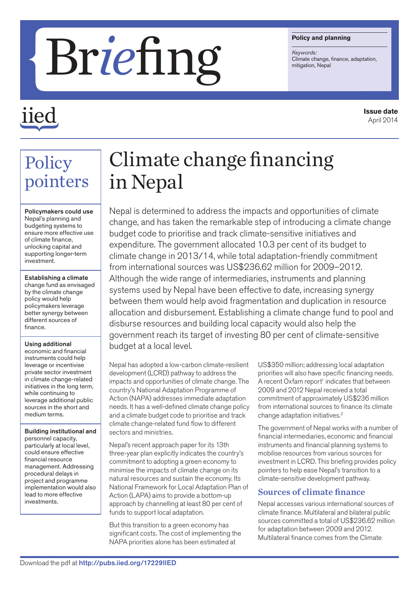#### **Policy and planning**

*Keywords:*

# **Briefing Colling Colling Colling Colling Colling Collinate change,**

## *iie*

Policy

investment.

finance.

Using additional economic and financial instruments could help leverage or incentivise private sector investment in climate change-related initiatives in the long term, while continuing to leverage additional public sources in the short and

medium terms.

investments.

Building institutional and personnel capacity, particularly at local level, could ensure effective financial resource management. Addressing procedural delays in project and programme implementation would also lead to more effective

pointers

Policymakers could use Nepal's planning and budgeting systems to ensure more effective use of climate finance, unlocking capital and supporting longer-term

Establishing a climate change fund as envisaged by the climate change policy would help policymakers leverage better synergy between different sources of

### Climate change financing in Nepal

Nepal is determined to address the impacts and opportunities of climate change, and has taken the remarkable step of introducing a climate change budget code to prioritise and track climate-sensitive initiatives and expenditure. The government allocated 10.3 per cent of its budget to climate change in 2013/14, while total adaptation-friendly commitment from international sources was US\$236.62 million for 2009–2012. Although the wide range of intermediaries, instruments and planning systems used by Nepal have been effective to date, increasing synergy between them would help avoid fragmentation and duplication in resource allocation and disbursement. Establishing a climate change fund to pool and disburse resources and building local capacity would also help the government reach its target of investing 80 per cent of climate-sensitive budget at a local level.

Nepal has adopted a low-carbon climate-resilient development (LCRD) pathway to address the impacts and opportunities of climate change. The country's National Adaptation Programme of Action (NAPA) addresses immediate adaptation needs. It has a well-defined climate change policy and a climate budget code to prioritise and track climate change-related fund flow to different sectors and ministries.

Nepal's recent approach paper for its 13th three-year plan explicitly indicates the country's commitment to adopting a green economy to minimise the impacts of climate change on its natural resources and sustain the economy. Its National Framework for Local Adaptation Plan of Action (LAPA) aims to provide a bottom-up approach by channelling at least 80 per cent of funds to support local adaptation.

But this transition to a green economy has significant costs. The cost of implementing the NAPA priorities alone has been estimated at

US\$350 million; addressing local adaptation priorities will also have specific financing needs. A recent Oxfam report<sup>1</sup> indicates that between 2009 and 2012 Nepal received a total commitment of approximately US\$236 million from international sources to finance its climate change adaptation initiatives.2

The government of Nepal works with a number of financial intermediaries, economic and financial instruments and financial planning systems to mobilise resources from various sources for investment in LCRD. This briefing provides policy pointers to help ease Nepal's transition to a climate-sensitive development pathway.

#### Sources of climate finance

Nepal accesses various international sources of climate finance. Multilateral and bilateral public sources committed a total of US\$236.62 million for adaptation between 2009 and 2012. Multilateral finance comes from the Climate

**Issue date** April 2014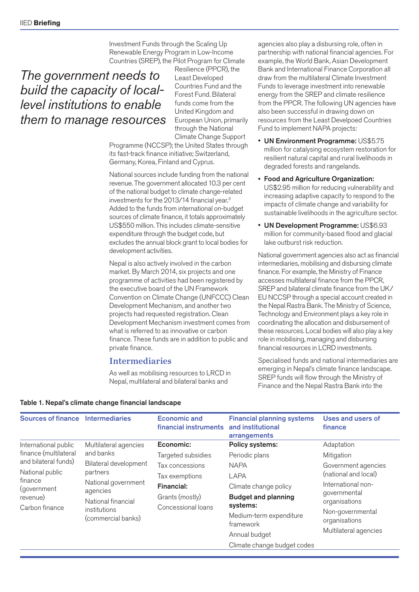Investment Funds through the Scaling Up Renewable Energy Program in Low-Income Countries (SREP), the Pilot Program for Climate

#### *The government needs to build the capacity of locallevel institutions to enable them to manage resources*

Resilience (PPCR), the Least Developed Countries Fund and the Forest Fund. Bilateral funds come from the United Kingdom and European Union, primarily through the National Climate Change Support

Programme (NCCSP); the United States through its fast-track finance initiative; Switzerland, Germany, Korea, Finland and Cyprus.

National sources include funding from the national revenue. The government allocated 10.3 per cent of the national budget to climate change-related investments for the 2013/14 financial year.3 Added to the funds from international on-budget sources of climate finance, it totals approximately US\$550 million. This includes climate-sensitive expenditure through the budget code, but excludes the annual block grant to local bodies for development activities.

Nepal is also actively involved in the carbon market. By March 2014, six projects and one programme of activities had been registered by the executive board of the UN Framework Convention on Climate Change (UNFCCC) Clean Development Mechanism, and another two projects had requested registration. Clean Development Mechanism investment comes from what is referred to as innovative or carbon finance. These funds are in addition to public and private finance.

#### Intermediaries

As well as mobilising resources to LRCD in Nepal, multilateral and bilateral banks and

agencies also play a disbursing role, often in partnership with national financial agencies. For example, the World Bank, Asian Development Bank and International Finance Corporation all draw from the multilateral Climate Investment Funds to leverage investment into renewable energy from the SREP and climate resilience from the PPCR. The following UN agencies have also been successful in drawing down on resources from the Least Develpoed Countries Fund to implement NAPA projects:

- UN Environment Programme: US\$5.75 million for catalysing ecosystem restoration for resilient natural capital and rural livelihoods in degraded forests and rangelands.
- Food and Agriculture Organization: US\$2.95 million for reducing vulnerability and increasing adaptive capacity to respond to the impacts of climate change and variability for sustainable livelihoods in the agriculture sector.
- UN Development Programme: US\$6.93 million for community-based flood and glacial lake outburst risk reduction.

National government agencies also act as financial intermediaries, mobilising and disbursing climate finance. For example, the Ministry of Finance accesses multilateral finance from the PPCR, SREP and bilateral climate finance from the UK/ EU NCCSP through a special account created in the Nepal Rastra Bank. The Ministry of Science, Technology and Environment plays a key role in coordinating the allocation and disbursement of these resources. Local bodies will also play a key role in mobilising, managing and disbursing financial resources in LCRD investments.

Specialised funds and national intermediaries are emerging in Nepal's climate finance landscape. SREP funds will flow through the Ministry of Finance and the Nepal Rastra Bank into the

| <b>Sources of finance Intermediaries</b>                                                        |                                                                                                                                  | <b>Economic and</b><br>financial instruments                                             | <b>Financial planning systems</b><br>and institutional<br>arrangements                                                                                 | <b>Uses and users of</b><br>finance                                                                                                                              |
|-------------------------------------------------------------------------------------------------|----------------------------------------------------------------------------------------------------------------------------------|------------------------------------------------------------------------------------------|--------------------------------------------------------------------------------------------------------------------------------------------------------|------------------------------------------------------------------------------------------------------------------------------------------------------------------|
| International public<br>finance (multilateral                                                   | Multilateral agencies<br>and banks                                                                                               | Economic:<br>Targeted subsidies                                                          | Policy systems:<br>Periodic plans                                                                                                                      | Adaptation<br>Mitigation                                                                                                                                         |
| and bilateral funds)<br>National public<br>finance<br>(government<br>revenue)<br>Carbon finance | Bilateral development<br>partners<br>National government<br>agencies<br>National financial<br>institutions<br>(commercial banks) | Tax concessions<br>Tax exemptions<br>Financial:<br>Grants (mostly)<br>Concessional loans | <b>NAPA</b><br><b>LAPA</b><br>Climate change policy<br><b>Budget and planning</b><br>systems:<br>Medium-term expenditure<br>framework<br>Annual budget | Government agencies<br>(national and local)<br>International non-<br>governmental<br>organisations<br>Non-governmental<br>organisations<br>Multilateral agencies |
|                                                                                                 |                                                                                                                                  |                                                                                          | Climate change budget codes                                                                                                                            |                                                                                                                                                                  |

#### Table 1. Nepal's climate change financial landscape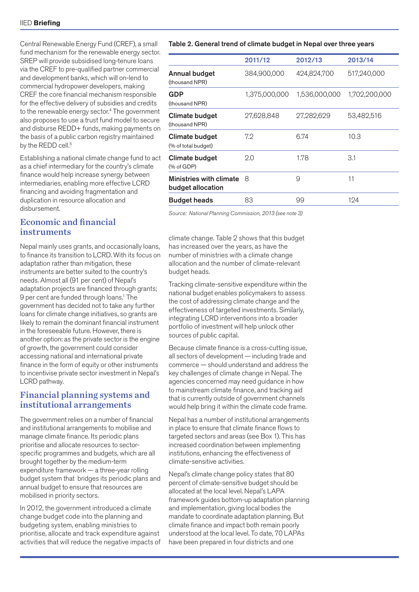Central Renewable Energy Fund (CREF), a small fund mechanism for the renewable energy sector. SREP will provide subsidised long-tenure loans via the CREF to pre-qualified partner commercial and development banks, which will on-lend to commercial hydropower developers, making CREF the core financial mechanism responsible for the effective delivery of subsidies and credits to the renewable energy sector.4 The government also proposes to use a trust fund model to secure and disburse REDD+ funds, making payments on the basis of a public carbon registry maintained by the REDD cell.<sup>5</sup>

Establishing a national climate change fund to act as a chief intermediary for the country's climate finance would help increase synergy between intermediaries, enabling more effective LCRD financing and avoiding fragmentation and duplication in resource allocation and disbursement.

#### Economic and financial instruments

Nepal mainly uses grants, and occasionally loans, to finance its transition to LCRD. With its focus on adaptation rather than mitigation, these instruments are better suited to the country's needs. Almost all (91 per cent) of Nepal's adaptation projects are financed through grants; 9 per cent are funded through loans.1 The government has decided not to take any further loans for climate change initiatives, so grants are likely to remain the dominant financial instrument in the foreseeable future. However, there is another option: as the private sector is the engine of growth, the government could consider accessing national and international private finance in the form of equity or other instruments to incentivise private sector investment in Nepal's LCRD pathway.

#### Financial planning systems and institutional arrangements

The government relies on a number of financial and institutional arrangements to mobilise and manage climate finance. Its periodic plans prioritise and allocate resources to sectorspecific programmes and budgets, which are all brought together by the medium-term expenditure framework — a three-year rolling budget system that bridges its periodic plans and annual budget to ensure that resources are mobilised in priority sectors.

In 2012, the government introduced a climate change budget code into the planning and budgeting system, enabling ministries to prioritise, allocate and track expenditure against activities that will reduce the negative impacts of

#### Table 2. General trend of climate budget in Nepal over three years

|                                              | 2011/12       | 2012/13       | 2013/14       |
|----------------------------------------------|---------------|---------------|---------------|
| <b>Annual budget</b><br>(thousand NPR)       | 384,900,000   | 424,824,700   | 517,240,000   |
| <b>GDP</b><br>(thousand NPR)                 | 1,375,000,000 | 1,536,000,000 | 1,702,200,000 |
| Climate budget<br>(thousand NPR)             | 27,628,848    | 27,282,629    | 53,482,516    |
| <b>Climate budget</b><br>(% of total budget) | 7.2           | 6.74          | 10.3          |
| Climate budget<br>% of GDP                   | 2.0           | 1.78          | 3.1           |
| Ministries with climate<br>budget allocation | 8             | 9             | 11            |
| <b>Budget heads</b>                          | 83            | 99            | 124           |

*Source: National Planning Commission, 2013 (see note 3)*

climate change. Table 2 shows that this budget has increased over the years, as have the number of ministries with a climate change allocation and the number of climate-relevant budget heads.

Tracking climate-sensitive expenditure within the national budget enables policymakers to assess the cost of addressing climate change and the effectiveness of targeted investments. Similarly, integrating LCRD interventions into a broader portfolio of investment will help unlock other sources of public capital.

Because climate finance is a cross-cutting issue, all sectors of development — including trade and commerce — should understand and address the key challenges of climate change in Nepal. The agencies concerned may need guidance in how to mainstream climate finance, and tracking aid that is currently outside of government channels would help bring it within the climate code frame.

Nepal has a number of institutional arrangements in place to ensure that climate finance flows to targeted sectors and areas (see Box 1). This has increased coordination between implementing institutions, enhancing the effectiveness of climate-sensitive activities.

Nepal's climate change policy states that 80 percent of climate-sensitive budget should be allocated at the local level. Nepal's LAPA framework guides bottom-up adaptation planning and implementation, giving local bodies the mandate to coordinate adaptation planning. But climate finance and impact both remain poorly understood at the local level. To date, 70 LAPAs have been prepared in four districts and one